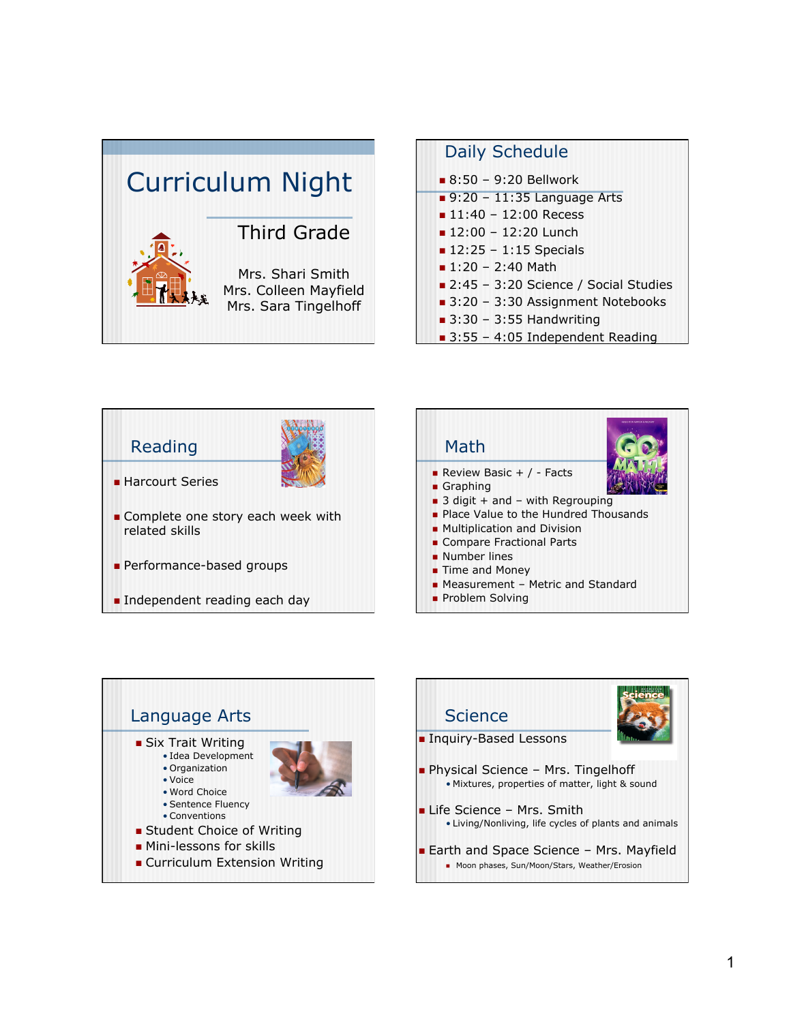







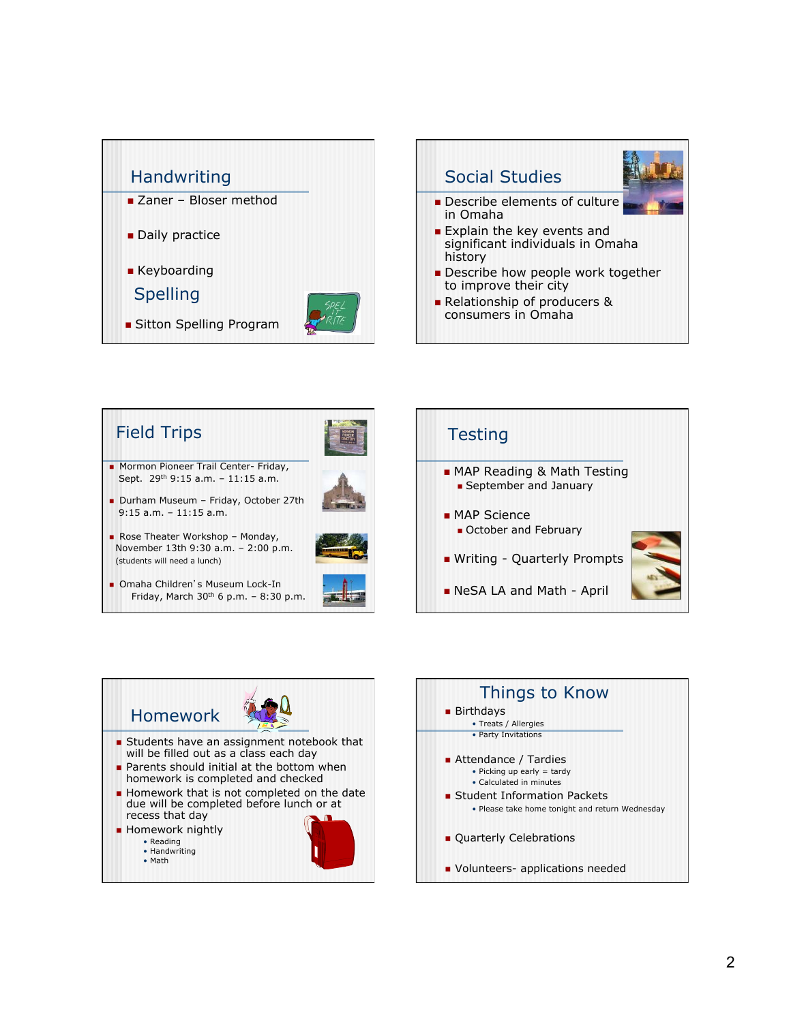